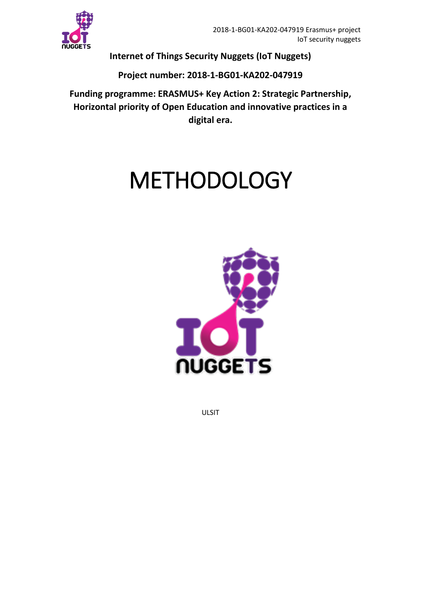

**Internet of Things Security Nuggets (IoT Nuggets)**

## **Project number: 2018-1-BG01-KA202-047919**

**Funding programme: ERASMUS+ Key Action 2: Strategic Partnership, Horizontal priority of Open Education and innovative practices in a digital era.**

## METHODOLOGY



ULSIT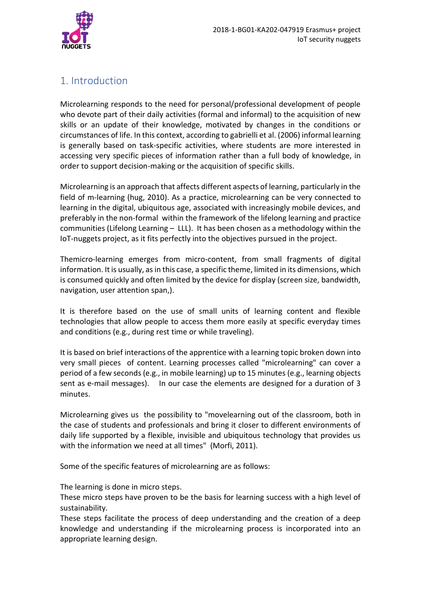

## 1. Introduction

Microlearning responds to the need for personal/professional development of people who devote part of their daily activities (formal and informal) to the acquisition of new skills or an update of their knowledge, motivated by changes in the conditions or circumstances of life. In this context, according to gabrielli et al. (2006) informal learning is generally based on task-specific activities, where students are more interested in accessing very specific pieces of information rather than a full body of knowledge, in order to support decision-making or the acquisition of specific skills.

Microlearning is an approach that affects different aspects of learning, particularly in the field of m-learning (hug, 2010). As a practice, microlearning can be very connected to learning in the digital, ubiquitous age, associated with increasingly mobile devices, and preferably in the non-formal within the framework of the lifelong learning and practice communities (Lifelong Learning – LLL). It has been chosen as a methodology within the IoT-nuggets project, as it fits perfectly into the objectives pursued in the project.

Themicro-learning emerges from micro-content, from small fragments of digital information. It is usually, as in this case, a specific theme, limited in its dimensions, which is consumed quickly and often limited by the device for display (screen size, bandwidth, navigation, user attention span,).

It is therefore based on the use of small units of learning content and flexible technologies that allow people to access them more easily at specific everyday times and conditions (e.g., during rest time or while traveling).

It is based on brief interactions of the apprentice with a learning topic broken down into very small pieces of content. Learning processes called "microlearning" can cover a period of a few seconds (e.g., in mobile learning) up to 15 minutes (e.g., learning objects sent as e-mail messages). In our case the elements are designed for a duration of 3 minutes.

Microlearning gives us the possibility to "movelearning out of the classroom, both in the case of students and professionals and bring it closer to different environments of daily life supported by a flexible, invisible and ubiquitous technology that provides us with the information we need at all times" (Morfi, 2011).

Some of the specific features of microlearning are as follows:

The learning is done in micro steps.

These micro steps have proven to be the basis for learning success with a high level of sustainability.

These steps facilitate the process of deep understanding and the creation of a deep knowledge and understanding if the microlearning process is incorporated into an appropriate learning design.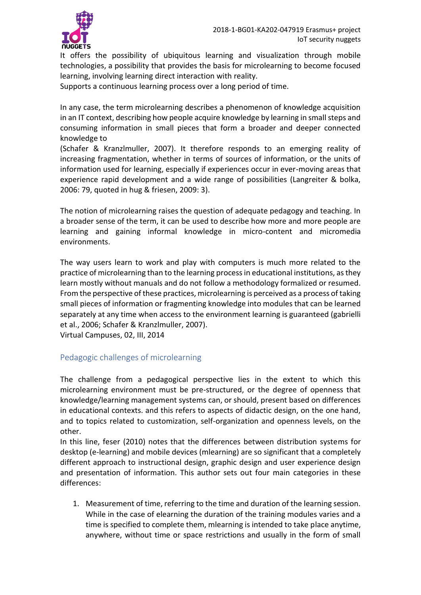

It offers the possibility of ubiquitous learning and visualization through mobile technologies, a possibility that provides the basis for microlearning to become focused learning, involving learning direct interaction with reality.

Supports a continuous learning process over a long period of time.

In any case, the term microlearning describes a phenomenon of knowledge acquisition in an IT context, describing how people acquire knowledge by learning in small steps and consuming information in small pieces that form a broader and deeper connected knowledge to

(Schafer & Kranzlmuller, 2007). It therefore responds to an emerging reality of increasing fragmentation, whether in terms of sources of information, or the units of information used for learning, especially if experiences occur in ever-moving areas that experience rapid development and a wide range of possibilities (Langreiter & bolka, 2006: 79, quoted in hug & friesen, 2009: 3).

The notion of microlearning raises the question of adequate pedagogy and teaching. In a broader sense of the term, it can be used to describe how more and more people are learning and gaining informal knowledge in micro-content and micromedia environments.

The way users learn to work and play with computers is much more related to the practice of microlearning than to the learning process in educational institutions, as they learn mostly without manuals and do not follow a methodology formalized or resumed. From the perspective of these practices, microlearning is perceived as a process of taking small pieces of information or fragmenting knowledge into modules that can be learned separately at any time when access to the environment learning is guaranteed (gabrielli et al., 2006; Schafer & Kranzlmuller, 2007).

Virtual Campuses, 02, III, 2014

## Pedagogic challenges of microlearning

The challenge from a pedagogical perspective lies in the extent to which this microlearning environment must be pre-structured, or the degree of openness that knowledge/learning management systems can, or should, present based on differences in educational contexts. and this refers to aspects of didactic design, on the one hand, and to topics related to customization, self-organization and openness levels, on the other.

In this line, feser (2010) notes that the differences between distribution systems for desktop (e-learning) and mobile devices (mlearning) are so significant that a completely different approach to instructional design, graphic design and user experience design and presentation of information. This author sets out four main categories in these differences:

1. Measurement of time, referring to the time and duration of the learning session. While in the case of elearning the duration of the training modules varies and a time is specified to complete them, mlearning is intended to take place anytime, anywhere, without time or space restrictions and usually in the form of small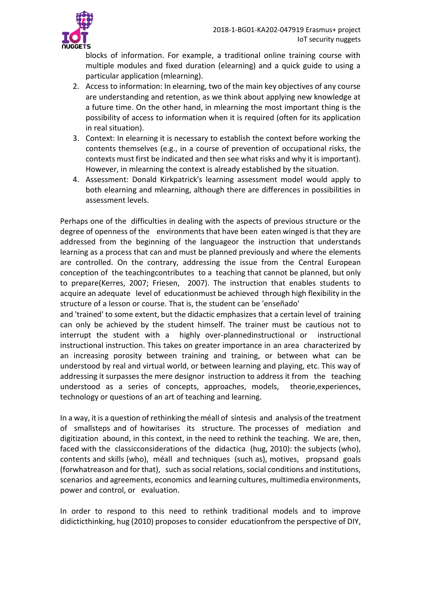

blocks of information. For example, a traditional online training course with multiple modules and fixed duration (elearning) and a quick guide to using a particular application (mlearning).

- 2. Access to information: In elearning, two of the main key objectives of any course are understanding and retention, as we think about applying new knowledge at a future time. On the other hand, in mlearning the most important thing is the possibility of access to information when it is required (often for its application in real situation).
- 3. Context: In elearning it is necessary to establish the context before working the contents themselves (e.g., in a course of prevention of occupational risks, the contexts must first be indicated and then see what risks and why it is important). However, in mlearning the context is already established by the situation.
- 4. Assessment: Donald Kirkpatrick's learning assessment model would apply to both elearning and mlearning, although there are differences in possibilities in assessment levels.

Perhaps one of the difficulties in dealing with the aspects of previous structure or the degree of openness of the environments that have been eaten winged is that they are addressed from the beginning of the languageor the instruction that understands learning as a process that can and must be planned previously and where the elements are controlled. On the contrary, addressing the issue from the Central European conception of the teachingcontributes to a teaching that cannot be planned, but only to prepare(Kerres, 2007; Friesen, 2007). The instruction that enables students to acquire an adequate level of educationmust be achieved through high flexibility in the structure of a lesson or course. That is, the student can be 'enseñado'

and 'trained' to some extent, but the didactic emphasizes that a certain level of training can only be achieved by the student himself. The trainer must be cautious not to interrupt the student with a highly over-plannedinstructional or instructional instructional instruction. This takes on greater importance in an area characterized by an increasing porosity between training and training, or between what can be understood by real and virtual world, or between learning and playing, etc. This way of addressing it surpasses the mere designor instruction to address it from the teaching understood as a series of concepts, approaches, models, theorie,experiences, technology or questions of an art of teaching and learning.

In a way, it is a question of rethinking the méall of síntesis and analysis of the treatment of smallsteps and of howitarises its structure. The processes of mediation and digitization abound, in this context, in the need to rethink the teaching. We are, then, faced with the classicconsiderations of the didactica (hug, 2010): the subjects (who), contents and skills (who), méall and techniques (such as), motives, propsand goals (forwhatreason and for that), such as social relations, social conditions and institutions, scenarios and agreements, economics and learning cultures, multimedia environments, power and control, or evaluation.

In order to respond to this need to rethink traditional models and to improve didicticthinking, hug (2010) proposes to consider educationfrom the perspective of DIY,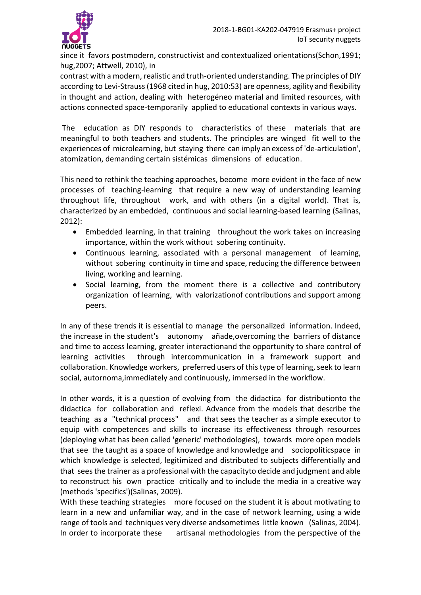

since it favors postmodern, constructivist and contextualized orientations(Schon,1991; hug,2007; Attwell, 2010), in

contrast with a modern, realistic and truth-oriented understanding. The principles of DIY according to Levi-Strauss (1968 cited in hug, 2010:53) are openness, agility and flexibility in thought and action, dealing with heterogéneo material and limited resources, with actions connected space-temporarily applied to educational contexts in various ways.

The education as DIY responds to characteristics of these materials that are meaningful to both teachers and students. The principles are winged fit well to the experiences of microlearning, but staying there can imply an excess of 'de-articulation', atomization, demanding certain sistémicas dimensions of education.

This need to rethink the teaching approaches, become more evident in the face of new processes of teaching-learning that require a new way of understanding learning throughout life, throughout work, and with others (in a digital world). That is, characterized by an embedded, continuous and social learning-based learning (Salinas, 2012):

- Embedded learning, in that training throughout the work takes on increasing importance, within the work without sobering continuity.
- Continuous learning, associated with a personal management of learning, without sobering continuity in time and space, reducing the difference between living, working and learning.
- Social learning, from the moment there is a collective and contributory organization of learning, with valorizationof contributions and support among peers.

In any of these trends it is essential to manage the personalized information. Indeed, the increase in the student's autonomy añade,overcoming the barriers of distance and time to access learning, greater interactionand the opportunity to share control of learning activities through intercommunication in a framework support and collaboration. Knowledge workers, preferred users of this type of learning, seek to learn social, autornoma,immediately and continuously, immersed in the workflow.

In other words, it is a question of evolving from the didactica for distributionto the didactica for collaboration and reflexi. Advance from the models that describe the teaching as a "technical process" and that sees the teacher as a simple executor to equip with competences and skills to increase its effectiveness through resources (deploying what has been called 'generic' methodologies), towards more open models that see the taught as a space of knowledge and knowledge and sociopoliticspace in which knowledge is selected, legitimized and distributed to subjects differentially and that sees the trainer as a professional with the capacityto decide and judgment and able to reconstruct his own practice critically and to include the media in a creative way (methods 'specifics')(Salinas, 2009).

With these teaching strategies more focused on the student it is about motivating to learn in a new and unfamiliar way, and in the case of network learning, using a wide range of tools and techniques very diverse andsometimes little known (Salinas, 2004). In order to incorporate these artisanal methodologies from the perspective of the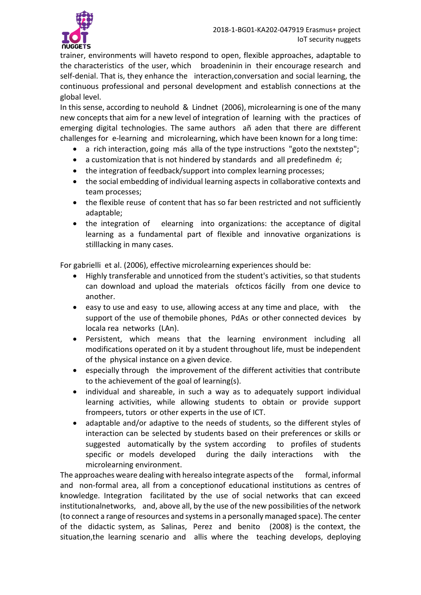

trainer, environments will haveto respond to open, flexible approaches, adaptable to the characteristics of the user, which broadeninin in their encourage research and self-denial. That is, they enhance the interaction,conversation and social learning, the continuous professional and personal development and establish connections at the global level.

In this sense, according to neuhold & Lindnet (2006), microlearning is one of the many new concepts that aim for a new level of integration of learning with the practices of emerging digital technologies. The same authors añ aden that there are different challenges for e-learning and microlearning, which have been known for a long time:

- a rich interaction, going más alla of the type instructions "goto the nextstep";
- a customization that is not hindered by standards and all predefinedm é;
- the integration of feedback/support into complex learning processes;
- the social embedding of individual learning aspects in collaborative contexts and team processes;
- the flexible reuse of content that has so far been restricted and not sufficiently adaptable;
- the integration of elearning into organizations: the acceptance of digital learning as a fundamental part of flexible and innovative organizations is stilllacking in many cases.

For gabrielli et al. (2006), effective microlearning experiences should be:

- Highly transferable and unnoticed from the student's activities, so that students can download and upload the materials ofcticos fácilly from one device to another.
- easy to use and easy to use, allowing access at any time and place, with the support of the use of themobile phones, PdAs or other connected devices by locala rea networks (LAn).
- Persistent, which means that the learning environment including all modifications operated on it by a student throughout life, must be independent of the physical instance on a given device.
- especially through the improvement of the different activities that contribute to the achievement of the goal of learning(s).
- individual and shareable, in such a way as to adequately support individual learning activities, while allowing students to obtain or provide support frompeers, tutors or other experts in the use of ICT.
- adaptable and/or adaptive to the needs of students, so the different styles of interaction can be selected by students based on their preferences or skills or suggested automatically by the system according to profiles of students specific or models developed during the daily interactions with the microlearning environment.

The approaches weare dealing with herealso integrate aspects of the formal, informal and non-formal area, all from a conceptionof educational institutions as centres of knowledge. Integration facilitated by the use of social networks that can exceed institutionalnetworks, and, above all, by the use of the new possibilities of the network (to connect a range of resources and systems in a personally managed space). The center of the didactic system, as Salinas, Perez and benito (2008) is the context, the situation,the learning scenario and allis where the teaching develops, deploying